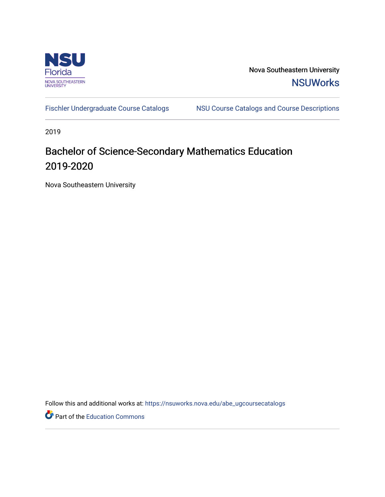

Nova Southeastern University **NSUWorks** 

[Fischler Undergraduate Course Catalogs](https://nsuworks.nova.edu/abe_ugcoursecatalogs) MSU Course Catalogs and Course Descriptions

2019

# Bachelor of Science-Secondary Mathematics Education 2019-2020

Nova Southeastern University

Follow this and additional works at: [https://nsuworks.nova.edu/abe\\_ugcoursecatalogs](https://nsuworks.nova.edu/abe_ugcoursecatalogs?utm_source=nsuworks.nova.edu%2Fabe_ugcoursecatalogs%2F29&utm_medium=PDF&utm_campaign=PDFCoverPages) 

Part of the [Education Commons](http://network.bepress.com/hgg/discipline/784?utm_source=nsuworks.nova.edu%2Fabe_ugcoursecatalogs%2F29&utm_medium=PDF&utm_campaign=PDFCoverPages)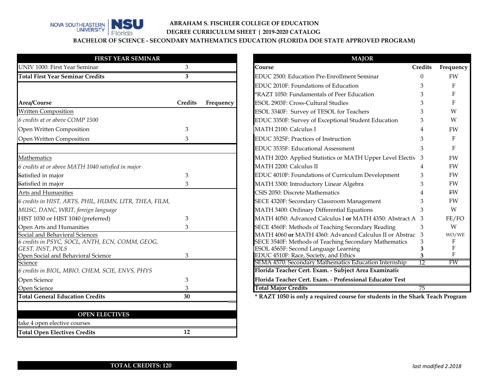

### **ABRAHAM S. FISCHLER COLLEGE OF EDUCATION DEGREE CURRICULUM SHEET | 2019-2020 CATALOG**

**BACHELOR OF SCIENCE - SECONDARY MATHEMATICS EDUCATION (FLORIDA DOE STATE APPROVED PROGRAM)**

| <b>FIRST YEAR SEMINAR</b>                                           |                |           | <b>MAJOR</b>                                                                                  |          |              |
|---------------------------------------------------------------------|----------------|-----------|-----------------------------------------------------------------------------------------------|----------|--------------|
| UNIV 1000: First Year Seminar                                       | 3 <sup>1</sup> |           | Course                                                                                        | Credits  | Frequenc     |
| <b>Total First Year Seminar Credits</b>                             | 3              |           | EDUC 2500: Education Pre-Enrollment Seminar                                                   | $\Omega$ | <b>FW</b>    |
|                                                                     |                |           | EDUC 2010F: Foundations of Education                                                          | 3        | F            |
|                                                                     |                |           | *RAZT 1050: Fundamentals of Peer Education                                                    |          |              |
| Area/Course                                                         | Credits        | Frequency | ESOL 2903F: Cross-Cultural Studies                                                            | 3        |              |
| <b>Written Composition</b>                                          |                |           | ESOL 3340F: Survey of TESOL for Teachers                                                      | 3        | W            |
| 6 credits at or above COMP 1500                                     |                |           | EDUC 3350F: Survey of Exceptional Student Education                                           | 3        | W            |
| Open Written Composition                                            | 3              |           | MATH 2100: Calculus I                                                                         |          | FW           |
| Open Written Composition                                            | 3              |           | EDUC 3525F: Practices of Instruction                                                          | 3        | F            |
|                                                                     |                |           | EDUC 3535F: Educational Assessment                                                            | 3        | F            |
| Mathematics                                                         |                |           | MATH 2020: Applied Statistics or MATH Upper Level Electiv 3                                   |          | FW           |
| 6 credits at or above MATH 1040 satisfied in major                  |                |           | MATH 2200: Calculus II                                                                        | 4        | <b>FW</b>    |
| Satisfied in major                                                  | 3              |           | EDUC 4010F: Foundations of Curriculum Development                                             | 3        | FW           |
| Satisfied in major                                                  | 3              |           | MATH 3300: Introductory Linear Algebra                                                        |          | <b>FW</b>    |
| Arts and Humanities                                                 |                |           | CSIS 2050: Discrete Mathematics                                                               |          | <b>FW</b>    |
| 6 credits in HIST, ARTS, PHIL, HUMN, LITR, THEA, FILM,              |                |           | SECE 4320F: Secondary Classroom Management                                                    | 3        | FW           |
| MUSC, DANC, WRIT, foreign language                                  |                |           | MATH 3400: Ordinary Differential Equations                                                    | 3        | W            |
| HIST 1030 or HIST 1040 (preferred)                                  | 3              |           | MATH 4050: Advanced Calculus I or MATH 4350: Abstract A 3                                     |          | FE/FO        |
| Open Arts and Humanities                                            | 3              |           | SECE 4560F: Methods of Teaching Secondary Reading                                             | 3        | W            |
| Social and Behavioral Sciences                                      |                |           | MATH 4060 or MATH 4360: Advanced Calculus II or Abstrac 3                                     |          | WO/WE        |
| 6 credits in PSYC, SOCL, ANTH, ECN, COMM, GEOG,<br>GEST, INST, POLS |                |           | SECE 3540F: Methods of Teaching Secondary Mathematics<br>ESOL 4565F: Second Language Learning | 3<br>3   |              |
| Open Social and Behavioral Science                                  | 3              |           | EDUC 4510F: Race, Society, and Ethics                                                         | 3        | $\mathbf{F}$ |
| Science                                                             |                |           | SEMA 4570: Secondary Mathematics Education Internship                                         | 12       | <b>FW</b>    |
| 6 credits in BIOL, MBIO, CHEM, SCIE, ENVS, PHYS                     |                |           | Florida Teacher Cert. Exam. - Subject Area Examinatic                                         |          |              |
| Open Science                                                        | 3              |           | Florida Teacher Cert. Exam. - Professional Educator Test                                      |          |              |
| Open Science                                                        | 3              |           | <b>Total Major Credits</b>                                                                    | 75       |              |
| <b>Total General Education Credits</b>                              | 30             |           | * RAZT 1050 is only a required course for students in the Shark Teach Progran                 |          |              |

|                           | <b>MAJOR</b>                                                                  |                 |              |
|---------------------------|-------------------------------------------------------------------------------|-----------------|--------------|
| 3                         | Course                                                                        | <b>Credits</b>  | Frequency    |
| $\overline{\overline{3}}$ | EDUC 2500: Education Pre-Enrollment Seminar                                   | 0               | <b>FW</b>    |
|                           | EDUC 2010F: Foundations of Education                                          | 3               | $\mathbf{F}$ |
|                           | *RAZT 1050: Fundamentals of Peer Education                                    | 3               | F            |
| dits:<br>Frequency        | <b>ESOL 2903F: Cross-Cultural Studies</b>                                     |                 | $\mathbf{F}$ |
|                           | ESOL 3340F: Survey of TESOL for Teachers                                      | 3               | W            |
|                           | EDUC 3350F: Survey of Exceptional Student Education                           | 3               | W            |
| 3                         | MATH 2100: Calculus I                                                         | 4               | <b>FW</b>    |
| 3                         | EDUC 3525F: Practices of Instruction                                          | 3               | $\mathbf{F}$ |
|                           | EDUC 3535F: Educational Assessment                                            | 3               | $F_{\rm}$    |
|                           | MATH 2020: Applied Statistics or MATH Upper Level Electiv                     | -3              | FW           |
|                           | MATH 2200: Calculus II                                                        | 4               | <b>FW</b>    |
| 3                         | EDUC 4010F: Foundations of Curriculum Development                             | 3               | <b>FW</b>    |
| 3                         | MATH 3300: Introductory Linear Algebra                                        | 3               | <b>FW</b>    |
|                           | CSIS 2050: Discrete Mathematics                                               | 4               | FW           |
|                           | SECE 4320F: Secondary Classroom Management                                    | 3               | <b>FW</b>    |
|                           | MATH 3400: Ordinary Differential Equations                                    | 3               | W            |
| 3                         | MATH 4050: Advanced Calculus I or MATH 4350: Abstract A 3                     |                 | FE/FO        |
| 3                         | SECE 4560F: Methods of Teaching Secondary Reading                             | 3               | W            |
|                           | MATH 4060 or MATH 4360: Advanced Calculus II or Abstrac                       | 3               | WO/WE        |
|                           | <b>SECE 3540F: Methods of Teaching Secondary Mathematics</b>                  | 3               | F            |
| 3                         | ESOL 4565F: Second Language Learning<br>EDUC 4510F: Race, Society, and Ethics |                 | F<br>F       |
|                           | SEMA 4570: Secondary Mathematics Education Internship                         | $\overline{12}$ | FW           |
|                           | Florida Teacher Cert. Exam. - Subject Area Examinatio                         |                 |              |
| 3                         | Florida Teacher Cert. Exam. - Professional Educator Test                      |                 |              |
| 3                         | <b>Total Major Credits</b>                                                    | 75              |              |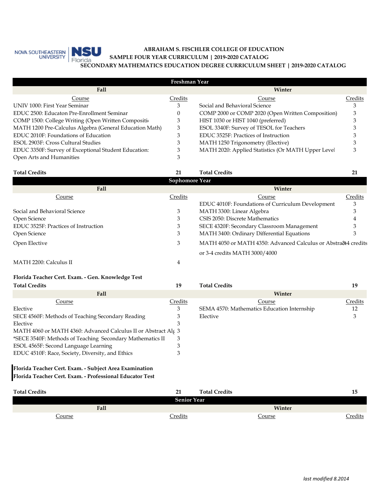

### **ABRAHAM S. FISCHLER COLLEGE OF EDUCATION SECONDARY MATHEMATICS EDUCATION DEGREE CURRICULUM SHEET | 2019-2020 CATALOG SAMPLE FOUR YEAR CURRICULUM | 2019-2020 CATALOG**

|                                                         | Freshman Year |                                                    |         |  |  |  |
|---------------------------------------------------------|---------------|----------------------------------------------------|---------|--|--|--|
| Fall                                                    |               | Winter                                             |         |  |  |  |
| Course                                                  | Credits       | Course                                             | Credits |  |  |  |
| UNIV 1000: First Year Seminar                           |               | Social and Behavioral Science                      |         |  |  |  |
| EDUC 2500: Educaton Pre-Enrollment Seminar              |               | COMP 2000 or COMP 2020 (Open Written Composition)  |         |  |  |  |
| COMP 1500: College Writing (Open Written Composition    | 3             | HIST 1030 or HIST 1040 (preferred)                 |         |  |  |  |
| MATH 1200 Pre-Calculus Algebra (General Education Math) | 3             | ESOL 3340F: Survey of TESOL for Teachers           |         |  |  |  |
| EDUC 2010F: Foundations of Education                    |               | EDUC 3525F: Practices of Instruction               |         |  |  |  |
| ESOL 2903F: Cross Cultural Studies                      |               | MATH 1250 Trigonometry (Elective)                  |         |  |  |  |
| EDUC 3350F: Survey of Exceptional Student Education:    |               | MATH 2020: Applied Statistics (Or MATH Upper Level |         |  |  |  |
| Open Arts and Humanities                                |               |                                                    |         |  |  |  |

| 21      | <b>Total Credits</b>                                                      | 21             |
|---------|---------------------------------------------------------------------------|----------------|
|         |                                                                           |                |
|         | Winter                                                                    |                |
| Credits | Course                                                                    | Credits        |
|         | EDUC 4010F: Foundations of Curriculum Development                         | 3              |
| 3       | MATH 3300: Linear Algebra                                                 | 3              |
|         | CSIS 2050: Discrete Mathematics                                           |                |
|         | SECE 4320F: Secondary Classroom Management                                |                |
|         | MATH 3400: Ordinary Differential Equations                                |                |
|         | MATH 4050 or MATH 4350: Advanced Calculus or Abstra <sub>84</sub> credits |                |
|         | or 3-4 credits MATH 3000/4000                                             |                |
|         |                                                                           | Sophomore Year |

### MATH 2200: Calculus II 4

## **Florida Teacher Cert. Exam. - Gen. Knowledge Test**

| <b>Total Credits</b>                                           | 19      | <b>Total Credits</b>                        | 19      |
|----------------------------------------------------------------|---------|---------------------------------------------|---------|
| Fall                                                           |         | Winter                                      |         |
| Course                                                         | Credits | Course                                      | Credits |
| Elective                                                       |         | SEMA 4570: Mathematics Education Internship | 12      |
| SECE 4560F: Methods of Teaching Secondary Reading              |         | Elective                                    |         |
| Elective                                                       |         |                                             |         |
| MATH 4060 or MATH 4360: Advanced Calculus II or Abstract Alg 3 |         |                                             |         |
| *SECE 3540F: Methods of Teaching Secondary Mathematics II      |         |                                             |         |
| ESOL 4565F: Second Language Learning                           |         |                                             |         |
| EDUC 4510F: Race, Society, Diversity, and Ethics               |         |                                             |         |
|                                                                |         |                                             |         |

### **Florida Teacher Cert. Exam. - Professional Educator Test Florida Teacher Cert. Exam. - Subject Area Examination**

| <b>Total Credits</b> | 21                 | <b>Total Credits</b> |               | 15             |
|----------------------|--------------------|----------------------|---------------|----------------|
|                      | <b>Senior Year</b> |                      |               |                |
| Fall                 |                    |                      | Winter        |                |
| <u>Course</u>        | <u>Credits</u>     |                      | <u>Course</u> | <u>Credits</u> |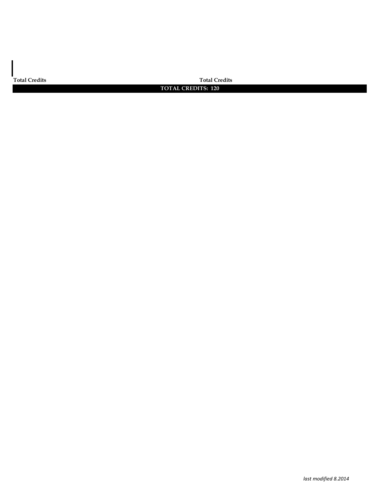**Total Credits Total Credits**

### **TOTAL CREDITS: 120**